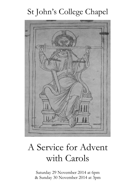# St John's College Chapel



# A Service for Advent with Carols

Saturday 29 November 2014 at 6pm & Sunday 30 November 2014 at 3pm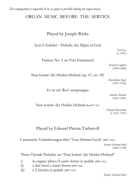*The congregation is requested to be as quiet as possible during the organ music.*

# ORGAN MUSIC BEFORE THE SERVICE

# Played by Joseph Wicks

Icon I: Gabriel – Prelude, the Might of God

*Neil Cox (b. 1955)*

Fantasy No. 5 on Veni Emmanuel

*Kenneth Leighton (1929–1988)*

Nun komm' der Heiden Heiland (op. 67, no. 29)

*Maximilian Reger (1873–1916)*

*Johannes Brahms (1833–1897)*

Nun komm' der Heiden Heiland (BuxWV 211)

Es ist ein' Ros' entsprungen

*Dieterich Buxtehude (c. 1637–1707)*

# Played by Edward Picton-Turbervill

Canonische Veränderungen über 'Vom Himmel hoch' (BWV 769a)

*Johann Sebastian Bach (1685–1750)*

Three Chorale Preludes on "Nun komm' der Heiden Heiland"

- i) in organo pleno/il canto fermo in pedale (BWV 661)
- ii) a due bassi e canto fermo (BWV 660)
- iii) à 2 claviers et pédale (BWV 659)

*Johann Sebastian Bach*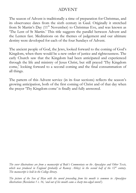# ADVENT

The season of Advent is traditionally a time of preparation for Christmas, and its observance dates from the sixth century in Gaul. Originally it stretched from St Martin's Day (11<sup>th</sup> November) to Christmas Eve, and was known as 'The Lent of St Martin.' This title suggests the parallel between Advent and the Lenten fast. Meditations on the themes of judgement and our ultimate destiny were developed for each of the four Sundays of Advent.

The ancient people of God, the Jews, looked forward to the coming of God's Kingdom, when there would be a new order of justice and righteousness. The early Church saw that the Kingdom had been anticipated and experienced through the life and ministry of Jesus Christ, but still prayed 'Thy Kingdom come,' looking forward to a second coming and the final consummation of all things.

The pattern of this Advent service (in its four sections) reflects the season's growing anticipation, both of the first coming of Christ and of that day when the prayer 'Thy Kingdom come' is finally and fully answered.

*The cover illustrations are from a manuscript of Bede's Commentary on the Apocalypse and Other Texts, which was produced in England (probably at Ramsey Abbey) in the second half of the 12th century. The manuscript is held in the College library.*

*The picture of the Son of Man with the sword proceeding from his mouth is common in Apocalypse illustrations (Revelation 1 v. 16, 'and out of his mouth came a sharp two-edged sword').*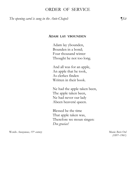# ORDER OF SERVICE

*The opening carol is sung in the Ante-Chapel: ¶Sit*

#### **ADAM LAY YBOUNDEN**

Adam lay ybounden, Bounden in a bond; Four thousand winter Thought he not too long.

And all was for an apple, An apple that he took, As clerkes finden Written in their book.

Ne had the apple taken been, The apple taken been, Ne had never our lady Abeen heavené queen.

Blessed be the time That apple taken was, Therefore we moun singen: *Deo gracias!*

Words *Anonymous, 15<sup>th</sup> century* and *Company and Company and Company and Company and Music Boris Ord* 

*(1897–1961)*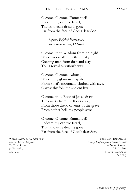#### PROCESSIONAL HYMN *¶Stand*

O come, O come, Emmanuel! Redeem thy captive Israel, That into exile drear is gone Far from the face of God's dear Son.

> *Rejoice! Rejoice! Emmanuel Shall come to thee, O Israel.*

O come, thou Wisdom from on high! Who madest all in earth and sky, Creating man from dust and clay: To us reveal salvation's way.

O come, O come, Adonaï, Who in thy glorious majesty From Sinai's mountain, clothed with awe, Gavest thy folk the ancient law.

O come, thou Root of Jesse! draw The quarry from the lion's claw; From those dread caverns of the grave, From nether hell, thy people save.

O come, O come, Emmanuel! Redeem thy captive Israel, That into exile drear is gone Far from the face of God's dear Son.

Words *Cologne* 1710, based on the Tune VENI EMMANUEL *ancient Advent Antiphons Melody 'adapted from a French Missal'* Tr*. T. A. Lacey by Thomas Helmore (1853–1931) (1811–1890)* **Descant** *David Hill (b. 1957)*

*Please turn the page quietly*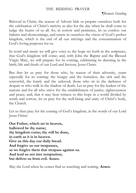### THE BIDDING PRAYER

Beloved in Christ, the season of Advent bids us prepare ourselves both for the celebration of Christ's nativity as also for the day when he shall come to judge the hearts of us all. So, in sorrow and penitence, let us confess our failures and shortcomings, and renew in ourselves the vision of God's perfect kingdom, which is the end of all our strivings and the consummation of God's loving purposes for us.

In word and music we will give voice to the hope set forth in the scriptures, that God's kingdom will come; and, with John the Baptist and the Blessed Virgin Mary, we will prepare for its coming, celebrating its dawning in the birth, life and death of our Lord and Saviour, Jesus Christ.

But first let us pray for those who, by reason of their adversity, yearn especially for its coming: the hungry and the homeless, the sick and the sorrowful, the lonely and the unloved; those who sit in the darkness of despair or who walk in the shadow of death. Let us pray for the leaders of the nations and for all who strive for the establishment of justice, righteousness and peace; and, that it may bear witness to this hope in a world divided by wrath and sorrow, let us pray for the well-being and unity of Christ's body, the Church.

Let us then pray for the coming of God's kingdom, in the words of our Lord Jesus Christ:

**Our Father, which art in heaven, hallowed be thy name; thy kingdom come; thy will be done, in earth as it is in heaven. Give us this day our daily bread. And forgive us our trespasses, as we forgive them that trespass against us. And lead us not into temptation; but deliver us from evil. Amen.**

May the Lord when he comes find us watching and waiting. **Amen.**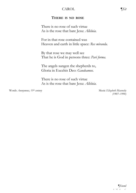### CAROL ¶*Sit*

#### **THERE IS NO ROSE**

There is no rose of such virtue As is the rose that bare Jesu: *Alleluia.*

For in that rose contained was Heaven and earth in little space: *Res miranda.*

By that rose we may well see That he is God in persons three: *Pari forma.*

The angels sungen the shepherds to, Gloria in Excelsis Deo: *Gaudeamus.*

There is no rose of such virtue As is the rose that bare Jesu: *Alleluia.*

Words *Anonymous, 15th century* Music *Elizabeth Maconchy*

*(1907–1994)*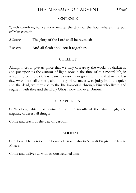# I THE MESSAGE OF ADVENT *¶Stand*

**SENTENCE** 

Watch therefore, for ye know neither the day nor the hour wherein the Son of Man cometh.

*Minister* The glory of the Lord shall be revealed:

*Response* **And all flesh shall see it together.**

# COLLECT

Almighty God, give us grace that we may cast away the works of darkness, and put upon us the armour of light, now in the time of this mortal life, in which thy Son Jesus Christ came to visit us in great humility; that in the last day, when he shall come again in his glorious majesty, to judge both the quick and the dead, we may rise to the life immortal; through him who liveth and reigneth with thee and the Holy Ghost, now and ever. **Amen.**

# O SAPIENTIA

O Wisdom, which hast come out of the mouth of the Most High, and mightily orderest all things:

Come and teach us the way of wisdom.

# O ADONAI

O Adonaï, Deliverer of the house of Israel, who in Sinai did'st give the law to Moses:

Come and deliver us with an outstretched arm.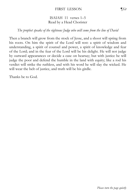#### FIRST LESSON *¶Sit*

#### ISAIAH 11 verses 1–5 Read by a Head Chorister

#### *The prophet speaks of the righteous Judge who will come from the line of David*

Then a branch will grow from the stock of Jesse, and a shoot will spring from his roots. On him the spirit of the Lord will rest: a spirit of wisdom and understanding, a spirit of counsel and power, a spirit of knowledge and fear of the Lord; and in the fear of the Lord will be his delight. He will not judge by outward appearances or decide a case on hearsay; but with justice he will judge the poor and defend the humble in the land with equity; like a rod his verdict will strike the ruthless, and with his word he will slay the wicked. He will wear the belt of justice, and truth will be his girdle.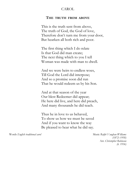#### CAROL

#### **THE TRUTH FROM ABOVE**

This is the truth sent from above, The truth of God, the God of love, Therefore don't turn me from your door, But hearken all both rich and poor.

The first thing which I do relate Is that God did man create; The next thing which to you I tell Woman was made with man to dwell.

And we were heirs to endless woes, Till God the Lord did interpose; And so a promise soon did run That he would redeem us by his Son.

And at that season of the year Our blest Redeemer did appear; He here did live, and here did preach, And many thousands he did teach.

Thus he in love to us behaved, To show us how we must be saved And if you want to know the way Be pleased to hear what he did say.

Words *English traditional carol* Music *Ralph Vaughan Williams*

*(1872–1958)* Arr. *Christopher Robinson (b. 1936)*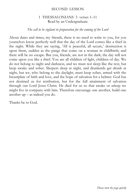#### SECOND LESSON

### 1 THESSALONIANS 5 verses 1–11 Read by an Undergraduate

#### *The call to be vigilant in preparation for the coming of the Lord*

About dates and times, my friends, there is no need to write to you, for you yourselves know perfectly well that the day of the Lord comes like a thief in the night. While they are saying, 'All is peaceful, all secure,' destruction is upon them, sudden as the pangs that come on a woman in childbirth; and there will be no escape. But you, friends, are not in the dark; the day will not come upon you like a thief. You are all children of light, children of day. We do not belong to night and darkness, and we must not sleep like the rest, but keep awake and sober. Sleepers sleep at night, and drunkards get drunk at night, but we, who belong to the daylight, must keep sober, armed with the breastplate of faith and love, and the hope of salvation for a helmet. God has not destined us for retribution, but for the full attainment of salvation through our Lord Jesus Christ. He died for us so that awake or asleep we might live in company with him. Therefore encourage one another, build one another up – as indeed you do.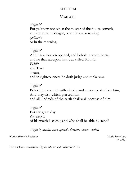#### ANTHEM

#### **VIGILATE**

#### *Vigilate!*

For ye know not when the master of the house cometh, at even, or at midnight, or at the cockcrowing, *gallicantu*  or in the morning.

*Vigilate!* And I saw heaven opened, and behold a white horse; and he that sat upon him was called Faithful *Fidelis* and True *Verax*, and in righteousness he doth judge and make war.

#### *Vigilate!*

Behold, he cometh with clouds; and every eye shall see him, And they also which pierced him:

and all kindreds of the earth shall wail because of him.

*Vigilate!* For the great day *dies magnus* of his wrath is come; and who shall be able to stand?

*Vigilate, nescitis enim quando dominus domus veniat.*

Words *Mark & Revelation* and *Music James Long* 

*(b. 1987)*

*This work was commissioned by the Master and Fellows in 2012.*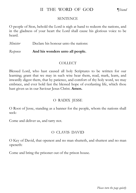# II THE WORD OF GOD *¶Stand*

#### **SENTENCE**

O people of Sion, behold the Lord is nigh at hand to redeem the nations, and in the gladness of your heart the Lord shall cause his glorious voice to be heard.

*Minister* Declare his honour unto the nations:

*Response* **And his wonders unto all people.**

### **COLLECT**

Blessed Lord, who hast caused all holy Scriptures to be written for our learning; grant that we may in such wise hear them, read, mark, learn, and inwardly digest them, that by patience, and comfort of thy holy word, we may embrace, and ever hold fast the blessed hope of everlasting life, which thou hast given us in our Saviour Jesus Christ. **Amen.**

# O RADIX JESSE

O Root of Jesse, standing as a banner for the people, whom the nations shall seek:

Come and deliver us, and tarry not.

# O CLAVIS DAVID

O Key of David, that openest and no man shutteth, and shuttest and no man openeth:

Come and bring the prisoner out of the prison house.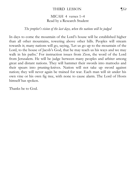#### THIRD LESSON ¶*Sit*

#### MICAH 4 verses 1–4 Read by a Research Student

## *The prophet's vision of the last days, when the nations will be judged*

In days to come the mountain of the Lord's house will be established higher than all other mountains, towering above other hills. Peoples will stream towards it; many nations will go, saying, 'Let us go up to the mountain of the Lord, to the house of Jacob's God, that he may teach us his ways and we may walk in his paths.' For instruction issues from Zion, the word of the Lord from Jerusalem. He will be judge between many peoples and arbiter among great and distant nations. They will hammer their swords into mattocks and their spears into pruning-knives. Nation will not take up sword against nation; they will never again be trained for war. Each man will sit under his own vine or his own fig tree, with none to cause alarm. The Lord of Hosts himself has spoken.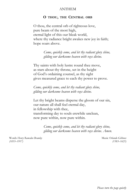#### **ANTHEM**

#### **O THOU, THE CENTRAL ORB**

O thou, the central orb of righteous love, pure beam of the most high, eternal light of this our bleak world, where thy radiance bright awakes new joy in faith; hope soars above.

> *Come, quickly come, and let thy radiant glory shine, gilding our darksome heaven with rays divine.*

Thy saints with holy lustre round thee move, as stars about thy throne, set in the height of God's ordaining counsel, as thy sight gives measured grace to each thy power to prove.

*Come, quickly come, and let thy radiant glory shine, gilding our darksome heaven with rays divine.*

Let thy bright beams disperse the gloom of our sin, our nature all shall feel eternal day, in fellowship with thee, transforming day to souls erewhile unclean, now pure within, now pure within.

> *Come, quickly come, and let thy radiant glory shine, gilding our darksome heaven with rays divine. Amen.*

Words *Henry Ramsden Bramley*<br>
(1833–1917) (1833–1625)<br> *Music Orlando Gibbons (1833–1917) (1583–1625)*

*Please turn the page quietly*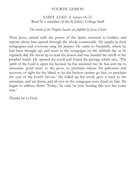#### FOURTH LESSON

# SAINT LUKE 4 verses 14–21 Read by a member of the St John's College Staff

### *The words of the Prophet Isaiah are fulfilled by Jesus Christ*

Then Jesus, armed with the power of the Spirit, returned to Galilee; and reports about him spread through the whole countryside. He taught in their synagogues and everyone sang his praises. He came to Nazareth, where he had been brought up, and went to the synagogue on the sabbath day as he regularly did. He stood up to read the lesson and was handed the scroll of the prophet Isaiah. He opened the scroll and found the passage which says, 'The spirit of the Lord is upon me because he has anointed me; he has sent me to announce good news to the poor, to proclaim release for prisoners and recovery of sight for the blind; to let the broken victims go free, to proclaim the year of the Lord's favour.' He rolled up the scroll, gave it back to the attendant, and sat down; and all eyes in the synagogue were fixed on him. He began to address them: 'Today,' he said, 'in your hearing this text has come true<sup>2</sup>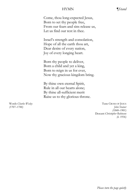#### HYMN *¶Stand*

Come, thou long-expected Jesus, Born to set thy people free, From our fears and sins release us, Let us find our rest in thee.

Israel's strength and consolation, Hope of all the earth thou art, Dear desire of every nation, Joy of every longing heart.

Born thy people to deliver, Born a child and yet a king, Born to reign in us for ever, Now thy gracious kingdom bring.

By thine own eternal Spirit, Rule in all our hearts alone; By thine all-sufficient merit Raise us to thy glorious throne.

Words *Charles Wesley* Tune CROSS OF JESUS *(1707–1788) John Stainer (1840–1901)* Descant *Christopher Robinson (b. 1936)*

*Please turn the page quietly*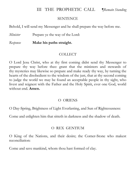# III THE PROPHETIC CALL *¶Remain Standing*

#### **SENTENCE**

Behold, I will send my Messenger and he shall prepare the way before me.

*Minister* Prepare ye the way of the Lord:

*Response* **Make his paths straight.**

#### **COLLECT**

O Lord Jesu Christ, who at thy first coming didst send thy Messenger to prepare thy way before thee: grant that the ministers and stewards of thy mysteries may likewise so prepare and make ready thy way, by turning the hearts of the disobedient to the wisdom of the just, that at thy second coming to judge the world we may be found an acceptable people in thy sight, who livest and reignest with the Father and the Holy Spirit, ever one God, world without end. **Amen.**

#### O ORIENS

O Day-Spring, Brightness of Light Everlasting, and Sun of Righteousness:

Come and enlighten him that sitteth in darkness and the shadow of death.

# O REX GENTIUM

O King of the Nations, and their desire; the Corner-Stone who makest reconciliation:

Come and save mankind, whom thou hast formed of clay.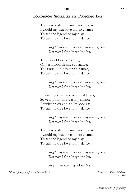#### CAROL *¶Sit*

#### **TOMORROW SHALL BE MY DANCING DAY**

Tomorrow shall be my dancing day, I would my true love did so chance To see the legend of my play, To call my true love to my dance:

> *Sing O my love, O my love, my love, my love; This have I done for my true love.*

Then was I born of a Virgin pure, Of her I took fleshly substance; Thus was I knit to man's nature, To call my true love to my dance:

> *Sing O my love, O my love, my love, my love; This have I done for my true love.*

In a manger laid and wrapped I was, So very poor, this was my chance, Betwixt an ox and a silly poor ass, To call my true love to my dance:

> *Sing O my love, O my love, my love, my love; This have I done for my true love.*

Tomorrow shall be my dancing day, I would my true love did so chance To see the legend of my play, To call my true love to my dance:

> *Sing O my love, O my love, my love, my love; This have I done for my true love.*

*Sing, O my love, sing, O my love.*

Words *from part of an old Cornish Poem* **Music arr.** *David Willcocks* 

*(b. 1919)*

*Please turn the page quietly*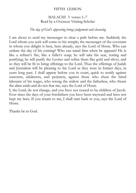#### FIFTH LESSON

# MALACHI 3 verses 1–7 Read by a Overseas Visiting Scholar

### *The day of God's appearing brings judgement and cleansing*

I am about to send my messenger to clear a path before me. Suddenly the Lord whom you seek will come to his temple; the messenger of the covenant in whom you delight is here, here already, says the Lord of Hosts. Who can endure the day of his coming? Who can stand firm when he appears? He is like a refiner's fire, like a fuller's soap; he will take his seat, testing and purifying; he will purify the Levites and refine them like gold and silver, and so they will be fit to bring offerings to the Lord. Thus the offerings of Judah and Jerusalem will be pleasing to the Lord as they were in former days, in years long past. I shall appear before you in court, quick to testify against sorcerers, adulterers, and perjurers, against those who cheat the hired labourer of his wages, who wrong the widow and the fatherless, who thrust the alien aside and do not fear me, says the Lord of Hosts.

I, the Lord, do not change, and you have not ceased to be children of Jacob. Ever since the days of your forefathers you have been wayward and have not kept my laws. If you return to me, I shall turn back to you, says the Lord of Hosts.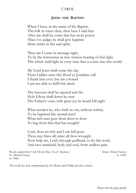#### CAROL

#### **JOHN THE BAPTIST**

When I have, in the name of the Baptist, The folk in water clear, then have I said that After me shall he come that has more power Than I to judge; he shall give baptism More entire in fire and spirit.

Thus am I come in message right, To be the forerunner in true witness bearing of that light. The which shall light in every man that is come into this world.

My Lord Jesus shall come this day From Galilee unto this flood ye Jourdane call. I thank him ever, but am a-feared I am not able to fulfil this deed.

The heavens shall be opened and the Holy Ghost shall down be sent. The Father's voice with great joy be heard full right.

What needest he, who hath no sin, without within, To be baptised like mortal men? What rich man goes from door to door To beg from him that has nought?

Lord, thou art rich and I am full poor. Thou may bless all, since all thou wrought. Now help me, Lord, through godhead, to do this work, And save mankind, body and soul, from endless pain.

Words *adapted from York Mystery Plays [No.21: Barbours]* Music *Michael Finnissy* Tr. *Michael Finnissy (b. 1946) (b. 1946)*

*This work has been commissioned by the Master and Fellows for these services.*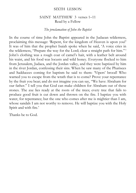#### SIXTH LESSON

#### SAINT MATTHEW 3 verses 1–11 Read by a Fellow

#### *The proclamation of John the Baptist*

In the course of time John the Baptist appeared in the Judaean wilderness, proclaiming this message: 'Repent, for the kingdom of Heaven is upon you!' It was of him that the prophet Isaiah spoke when he said, 'A voice cries in the wilderness, "Prepare the way for the Lord; clear a straight path for him." ' John's clothing was a rough coat of camel's hair, with a leather belt around his waist, and his food was locusts and wild honey. Everyone flocked to him from Jerusalem, Judaea, and the Jordan valley, and they were baptized by him in the river Jordan, confessing their sins. When he saw many of the Pharisees and Sadducees coming for baptism he said to them: 'Vipers' brood! Who warned you to escape from the wrath that is to come? Prove your repentance by the fruit you bear; and do not imagine you can say, "We have Abraham for our father." I tell you that God can make children for Abraham out of these stones. The axe lies ready at the roots of the trees; every tree that fails to produce good fruit is cut down and thrown on the fire. I baptize you with water, for repentance; but the one who comes after me is mightier than I am. whose sandals I am not worthy to remove. He will baptize you with the Holy Spirit and with fire.'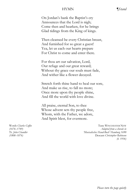#### HYMN *¶Stand*

On Jordan's bank the Baptist's cry Announces that the Lord is nigh; Come then and hearken, for he brings Glad tidings from the King of kings.

Then cleansed be every Christian breast, And furnished for so great a guest! Yea, let us each our hearts prepare For Christ to come and enter there.

For thou art our salvation, Lord, Our refuge and our great reward; Without thy grace our souls must fade, And wither like a flower decayed.

Stretch forth thine hand to heal our sore, And make us rise, to fall no more; Once more upon thy people shine, And fill the world with love divine.

All praise, eternal Son, to thee Whose advent sets thy people free, Whom, with the Father, we adore, And Spirit blest, for evermore.

Words *Charles Coffin* Tune WINCHESTER NEW *(1676–1749) Adapted from a chorale in* Tr. *John Chandler 'Musicalisches Hand-Buch' Hamburg 1690 (1808–1876)* Descant *Christopher Robinson (b. 1936)*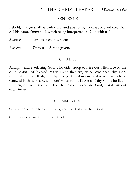# IV THE CHRIST-BEARER *¶Remain Standing*

#### SENTENCE

Behold, a virgin shall be with child, and shall bring forth a Son, and they shall call his name Emmanuel, which being interpreted is, 'God with us.'

*Minister* Unto us a child is born:

*Response* **Unto us a Son is given.**

# COLLECT

Almighty and everlasting God, who didst stoop to raise our fallen race by the child-bearing of blessed Mary: grant that we, who have seen thy glory manifested in our flesh, and thy love perfected in our weakness, may daily be renewed in thine image, and conformed to the likeness of thy Son, who liveth and reigneth with thee and the Holy Ghost, ever one God, world without end. **Amen.** 

# O EMMANUEL

O Emmanuel, our King and Lawgiver, the desire of the nations:

Come and save us, O Lord our God.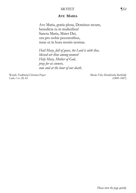#### MOTET ¶*Sit*

#### **AVE MARIA**

Ave Maria, gratia plena, Dominus tecum, benedicta tu in mulieribus! Sancta Maria, Mater Dei, ora pro nobis peccatoribus, nunc et in hora mortis nostrae.

*Hail Mary, full of grace, the Lord is with thee, blessed art thou among women! Holy Mary, Mother of God, pray for us sinners, now and at the hour of our death.*

Words *Traditional Christian Prayer*<br> *Luke 1 vv. 28. 42* (1809–1847) *Luke 1 vv. 28, 42 (1809–1847)*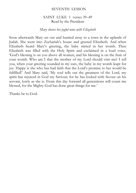#### SEVENTH LESSON

#### SAINT LUKE 1 verses 39–49 Read by the President

# *Mary shares her joyful news with Elizabeth*

Soon afterwards Mary set out and hurried away to a town in the uplands of Judah. She went into Zechariah's house and greeted Elizabeth. And when Elizabeth heard Mary's greeting, the baby stirred in her womb. Then Elizabeth was filled with the Holy Spirit and exclaimed in a loud voice, 'God's blessing is on you above all women, and his blessing is on the fruit of your womb. Who am I that the mother of my Lord should visit me? I tell you, when your greeting sounded in my ears, the baby in my womb leapt for joy. Happy is she who has had faith that the Lord's promise to her would be fulfilled!' And Mary said, 'My soul tells out the greatness of the Lord, my spirit has rejoiced in God my Saviour; for he has looked with favour on his servant, lowly as she is. From this day forward all generations will count me blessed, for the Mighty God has done great things for me.'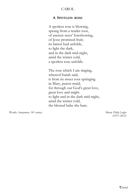#### CAROL

#### **A SPOTLESS ROSE**

A spotless rose is blowing, sprung from a tender root, of ancient seers' foreshowing, of Jesse promised fruit; its fairest bud unfolds, to light the dark, and in the dark mid-night, amid the winter cold, a spotless rose unfolds.

The rose which I am singing, whereof Isaiah said, is from its sweet root springing in Mary, purest maid; for through our God's great love, great love and might to light and in the dark mid-night, amid the winter cold, the blessed babe she bare.

Words *Anonymous, 14th century* Music *Philip Ledger*

*(1937–2012)*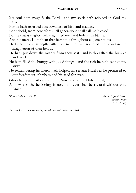#### **MAGNIFICAT** *¶Stand*

My soul doth magnify the Lord : and my spirit hath rejoiced in God my Saviour.

For he hath regarded : the lowliness of his hand-maiden.

For behold, from henceforth : all generations shall call me blessed.

For he that is mighty hath magnified me : and holy is his Name.

And his mercy is on them that fear him : throughout all generations.

- He hath shewed strength with his arm : he hath scattered the proud in the imagination of their hearts.
- He hath put down the mighty from their seat : and hath exalted the humble and meek.
- He hath filled the hungry with good things : and the rich he hath sent empty away.
- He remembering his mercy hath holpen his servant Israel : as he promised to our forefathers, Abraham and his seed for ever.

Glory be to the Father, and to the Son : and to the Holy Ghost;

As it was in the beginning, is now, and ever shall be : world without end. Amen.

Words *Luke 1 vv. 46–55* Music *St John's Service*

*Michael Tippett (1905–1998)*

*This work was commissioned by the Master and Fellows in 1961.*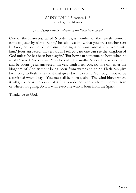#### EIGHTH LESSON *¶Sit*

#### SAINT JOHN 3 verses 1–8 Read by the Master

#### *Jesus speaks with Nicodemus of the 'birth from above'*

One of the Pharisees, called Nicodemus, a member of the Jewish Council, came to Jesus by night. 'Rabbi,' he said, 'we know that you are a teacher sent by God; no one could perform these signs of yours unless God were with him.' Jesus answered, 'In very truth I tell you, no one can see the kingdom of God unless he has been born again.' 'But how can someone be born when he is old?' asked Nicodemus. 'Can he enter his mother's womb a second time and be born?' Jesus answered, 'In very truth I tell you, no one can enter the kingdom of God without being born from water and spirit. Flesh can give birth only to flesh; it is spirit that gives birth to spirit. You ought not to be astonished when I say, "You must all be born again." The wind blows where it wills; you hear the sound of it, but you do not know where it comes from or where it is going. So it is with everyone who is born from the Spirit.'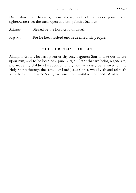#### SENTENCE *¶Stand*

Drop down, ye heavens, from above, and let the skies pour down righteousness; let the earth open and bring forth a Saviour.

*Minister* Blessed be the Lord God of Israel:

# *Response* **For he hath visited and redeemed his people.**

### THE CHRISTMAS COLLECT

Almighty God, who hast given us thy only-begotten Son to take our nature upon him, and to be born of a pure Virgin; Grant that we being regenerate, and made thy children by adoption and grace, may daily be renewed by thy Holy Spirit; through the same our Lord Jesus Christ, who liveth and reigneth with thee and the same Spirit, ever one God, world without end. **Amen.**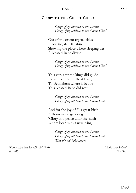#### CAROL ¶*Sit*

#### **GLORY TO THE CHRIST CHILD**

*Glory, glory alleluia to the Christ! Glory, glory alleluia to the Christ Child!*

Out of the orient crystal skies A blazing star did shine, Showing the place where sleeping lies A blessed Babe divine.

> *Glory, glory alleluia to the Christ! Glory, glory alleluia to the Christ Child!*

This very star the kings did guide Even from the furthest East, To Bethlehem where it betide This blessed Babe did rest.

> *Glory, glory alleluia to the Christ! Glory, glory alleluia to the Christ Child!*

And for the joy of His great birth A thousand angels sing: 'Glory and peace unto the earth Where born is this new King!'

> *Glory, glory alleluia to the Christ! Glory, glory alleluia to the Christ Child! This blessed babe divine.*

Words *taken from Bm add. AM 29401* Music *Alan Bullard* Music *Alan Bullard (c. 1610) (b. 1947)*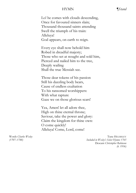#### HYMN *¶Stand*

Lo! he comes with clouds descending, Once for favoured sinners slain; Thousand thousand saints attending Swell the triumph of his train: Alleluya! God appears, on earth to reign.

Every eye shall now behold him Robed in dreadful majesty; Those who set at nought and sold him, Pierced and nailed him to the tree, Deeply wailing Shall the true Messiah see.

Those dear tokens of his passion Still his dazzling body bears, Cause of endless exultation To his ransomed worshippers: With what rapture Gaze we on those glorious scars!

Yea, Amen! let all adore thee, High on thine eternal throne; Saviour, take the power and glory: Claim the kingdom for thine own: O come quickly! Alleluya! Come, Lord, come!

Words *Charles Wesley* Tune HELMSLEY *(1707–1788) Included in Wesley's Select Hymns 1765* Descant *Christopher Robinson (b. 1936)*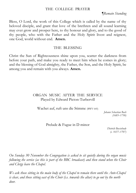#### THE COLLEGE PRAYER

¶*Remain Standing*

Bless, O Lord, the work of this College which is called by the name of thy beloved disciple, and grant that love of the brethren and all sound learning may ever grow and prosper here, to thy honour and glory, and to the good of thy people, who with the Father and the Holy Spirit livest and reignest, one God, world without end. **Amen.**

#### THE BLESSING

Christ the Sun of Righteousness shine upon you, scatter the darkness from before your path, and make you ready to meet him when he comes in glory; and the blessing of God almighty, the Father, the Son, and the Holy Spirit, be among you and remain with you always. **Amen.**

# ORGAN MUSIC AFTER THE SERVICE Played by Edward Picton-Turbervill

Wachet auf, ruft uns die Stimme (BWV 645)

*Johann Sebastian Bach (1685–1750)*

Prelude & Fugue in D minor

*Dietrich Buxtehude (c. 1637–1707)*

*On Sunday 30 November the Congregation is asked to sit quietly during the organ music following the service (as this is part of the BBC broadcast) and then stand when the Choir and Clergy leave the Chapel.*

*We ask those sitting in the main body of the Chapel to remain there until the Ante-Chapel is clear, and those sitting east of the Choir (i.e. towards the altar) to go out by the north door.*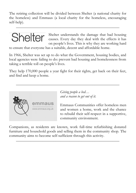The retiring collection will be divided between Shelter (a national charity for the homeless) and Emmaus (a local charity for the homeless, encouraging self-help).

 $\mathcal{L}_\text{max}$  and  $\mathcal{L}_\text{max}$  and  $\mathcal{L}_\text{max}$  and  $\mathcal{L}_\text{max}$  and  $\mathcal{L}_\text{max}$ 

Shelter understands the damage that bad housing causes. Every day they deal with the effects it has on people's lives. This is why they are working hard

to ensure that everyone has a suitable, decent and affordable home.

In 1966, Shelter was set up to do what the Government, housing bodies, and local agencies were failing to do: prevent bad housing and homelessness from taking a terrible toll on people's lives.

They help 170,000 people a year fight for their rights, get back on their feet, and find and keep a home.

 $\mathcal{L}_\text{max}$  and  $\mathcal{L}_\text{max}$  and  $\mathcal{L}_\text{max}$  and  $\mathcal{L}_\text{max}$  and  $\mathcal{L}_\text{max}$ 



*Giving people a bed… and a reason to get out of it.*

Emmaus Communities offer homeless men and women a home, work and the chance to rebuild their self-respect in a supportive, community environment.

Companions, as residents are known, work full-time refurbishing donated furniture and household goods and selling them in the community shop. The community aims to become self-sufficient through this activity.

\_\_\_\_\_\_\_\_\_\_\_\_\_\_\_\_\_\_\_\_\_\_\_\_\_\_\_\_\_\_\_\_\_\_\_\_\_\_\_\_\_\_\_\_\_\_\_\_\_\_\_\_\_\_\_\_\_\_